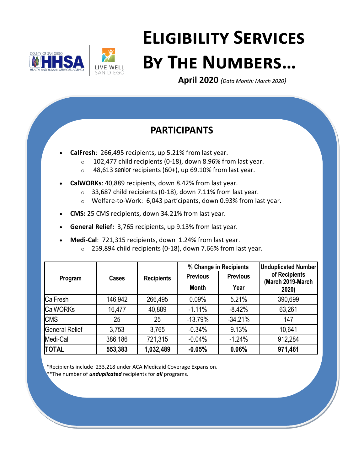



# **Eligibility Services By The Numbers…**

**April 2020** *(Data Month: March 2020)*

# **PARTICIPANTS**

- **CalFresh**: 266,495 recipients, up 5.21% from last year.
	- $\circ$  102,477 child recipients (0-18), down 8.96% from last year.
	- $\circ$  48,613 senior recipients (60+), up 69.10% from last year.
- **CalWORKs**: 40,889 recipients, down 8.42% from last year.
	- $\circ$  33,687 child recipients (0-18), down 7.11% from last year.
	- o Welfare-to-Work: 6,043 participants, down 0.93% from last year.
- **CMS:** 25 CMS recipients, down 34.21% from last year.
- **General Relief:** 3,765 recipients, up 9.13% from last year.
- **Medi-Cal**: 721,315 recipients, down 1.24% from last year.
	- o 259,894 child recipients (0-18), down 7.66% from last year.

|                       |              |                   | % Change in Recipients |                 | <b>Unduplicated Number</b><br>of Recipients |
|-----------------------|--------------|-------------------|------------------------|-----------------|---------------------------------------------|
| Program               | <b>Cases</b> | <b>Recipients</b> | <b>Previous</b>        | <b>Previous</b> |                                             |
|                       |              |                   | <b>Month</b>           | Year            | (March 2019-March<br>2020)                  |
| CalFresh              | 146,942      | 266,495           | 0.09%                  | 5.21%           | 390,699                                     |
| <b>CalWORKs</b>       | 16,477       | 40,889            | $-1.11%$               | $-8.42%$        | 63,261                                      |
| <b>CMS</b>            | 25           | 25                | $-13.79%$              | $-34.21%$       | 147                                         |
| <b>General Relief</b> | 3,753        | 3,765             | $-0.34%$               | 9.13%           | 10,641                                      |
| Medi-Cal              | 386,186      | 721,315           | $-0.04%$               | $-1.24%$        | 912,284                                     |
| TOTAL                 | 553,383      | 1,032,489         | $-0.05%$               | 0.06%           | 971,461                                     |

\*Recipients include 233,218 under ACA Medicaid Coverage Expansion.

\*\*The number of *unduplicated* recipients for *all* programs.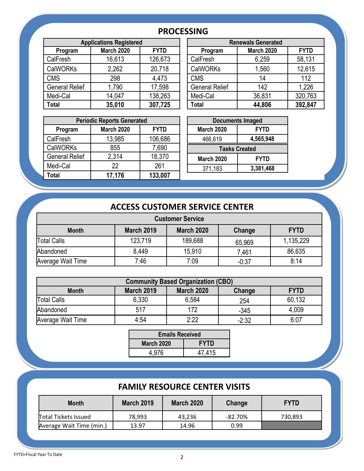## **PROCESSING**

| <b>Applications Registered</b> |                   |             | <b>Renewals Generated</b> |                   |             |  |
|--------------------------------|-------------------|-------------|---------------------------|-------------------|-------------|--|
| Program                        | <b>March 2020</b> | <b>FYTD</b> | Program                   | <b>March 2020</b> | <b>FYTD</b> |  |
| CalFresh                       | 16,613            | 126,673     | CalFresh                  | 6,259             | 58,131      |  |
| <b>CalWORKs</b>                | 2,262             | 20,718      | <b>CalWORKs</b>           | 1,560             | 12,615      |  |
| <b>CMS</b>                     | 298               | 4,473       | <b>CMS</b>                | 14                | 112         |  |
| <b>General Relief</b>          | 1,790             | 17,598      | <b>General Relief</b>     | 142               | 1,226       |  |
| Medi-Cal                       | 14,047            | 138,263     | Medi-Cal                  | 36,831            | 320,763     |  |
| <b>Total</b>                   | 35,010            | 307,725     | Total                     | 44,806            | 392,847     |  |

| <b>Applications Registered</b> |                   |             |  | <b>Renewals Generated</b> |                   |             |  |
|--------------------------------|-------------------|-------------|--|---------------------------|-------------------|-------------|--|
| Program                        | <b>March 2020</b> | <b>FYTD</b> |  | Program                   | <b>March 2020</b> | <b>FYTD</b> |  |
| Fresh                          | 16,613            | 126,673     |  | CalFresh                  | 6,259             | 58,131      |  |
| WORKs                          | 2,262             | 20,718      |  | <b>CalWORKs</b>           | 1,560             | 12,615      |  |
| S                              | 298               | 4,473       |  | <b>CMS</b>                | 14                | 112         |  |
| าeral Relief                   | 1,790             | 17,598      |  | <b>General Relief</b>     | 142               | 1,226       |  |
| di-Cal                         | 14,047            | 138,263     |  | Medi-Cal                  | 36,831            | 320,763     |  |
|                                | 35,010            | 307,725     |  | Total                     | 44,806            | 392,847     |  |
|                                |                   |             |  |                           |                   |             |  |

| <b>Periodic Reports Generated</b> |                   |             |  |                   | <b>Documents Imaged</b> |
|-----------------------------------|-------------------|-------------|--|-------------------|-------------------------|
| Program                           | <b>March 2020</b> | <b>FYTD</b> |  | <b>March 2020</b> | <b>FYTD</b>             |
| CalFresh                          | 13,985            | 106,686     |  | 466,619           | 4,565,948               |
| <b>CalWORKs</b>                   | 855               | 7,690       |  |                   | <b>Tasks Created</b>    |
| <b>General Relief</b>             | 2,314             | 18,370      |  | <b>March 2020</b> | <b>FYTD</b>             |
| Medi-Cal                          | 22                | 261         |  | 371,183           | 3,381,468               |
| <b>Total</b>                      | 17,176            | 133,007     |  |                   |                         |
|                                   |                   |             |  |                   |                         |

| <b>Documents Imaged</b> |             |  |  |  |  |
|-------------------------|-------------|--|--|--|--|
| <b>March 2020</b>       | <b>FYTD</b> |  |  |  |  |
| 466,619                 | 4,565,948   |  |  |  |  |
| <b>Tasks Created</b>    |             |  |  |  |  |
| <b>March 2020</b>       | <b>FYTD</b> |  |  |  |  |
| 371,183                 | 3,381,468   |  |  |  |  |
|                         |             |  |  |  |  |

## **ACCESS CUSTOMER SERVICE CENTER**

| <b>Customer Service</b>                                                         |         |         |         |           |  |  |  |
|---------------------------------------------------------------------------------|---------|---------|---------|-----------|--|--|--|
| <b>March 2019</b><br><b>March 2020</b><br><b>FYTD</b><br>Change<br><b>Month</b> |         |         |         |           |  |  |  |
| Total Calls                                                                     | 123,719 | 189,688 | 65,969  | 1,135,229 |  |  |  |
| Abandoned                                                                       | 8,449   | 15,910  | 7.461   | 86,635    |  |  |  |
| Average Wait Time                                                               | 7:46    | 7:09    | $-0:37$ | 8:14      |  |  |  |

| <b>Community Based Organization (CBO)</b>                                |       |       |         |        |  |  |  |
|--------------------------------------------------------------------------|-------|-------|---------|--------|--|--|--|
| March 2020<br><b>FYTD</b><br><b>March 2019</b><br><b>Month</b><br>Change |       |       |         |        |  |  |  |
| <b>Total Calls</b>                                                       | 6,330 | 6,584 | 254     | 60,132 |  |  |  |
| Abandoned                                                                | 517   | 172   | $-345$  | 4,009  |  |  |  |
| Average Wait Time                                                        | 4:54  | 2.22  | $-2:32$ | 6:07   |  |  |  |

| <b>Emails Received</b>           |        |  |  |  |
|----------------------------------|--------|--|--|--|
| <b>FYTD</b><br><b>March 2020</b> |        |  |  |  |
| 4.976                            | 47,415 |  |  |  |

## **FAMILY RESOURCE CENTER VISITS**

| <b>Month</b>                | <b>March 2019</b> | <b>March 2020</b> | Change     | <b>FYTD</b> |
|-----------------------------|-------------------|-------------------|------------|-------------|
| <b>Total Tickets Issued</b> | 78.993            | 43.236            | $-82.70\%$ | 730,893     |
| Average Wait Time (min.)    | 13.97             | 14.96             | 0.99       |             |